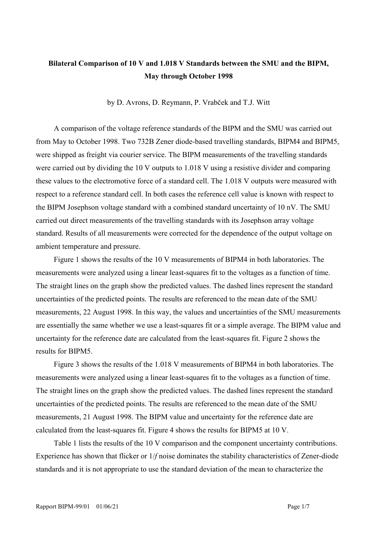## **Bilateral Comparison of 10 V and 1.018 V Standards between the SMU and the BIPM, May through October 1998**

by D. Avrons, D. Reymann, P. Vrabček and T.J. Witt

A comparison of the voltage reference standards of the BIPM and the SMU was carried out from May to October 1998. Two 732B Zener diode-based travelling standards, BIPM4 and BIPM5, were shipped as freight via courier service. The BIPM measurements of the travelling standards were carried out by dividing the 10 V outputs to 1.018 V using a resistive divider and comparing these values to the electromotive force of a standard cell. The 1.018 V outputs were measured with respect to a reference standard cell. In both cases the reference cell value is known with respect to the BIPM Josephson voltage standard with a combined standard uncertainty of 10 nV. The SMU carried out direct measurements of the travelling standards with its Josephson array voltage standard. Results of all measurements were corrected for the dependence of the output voltage on ambient temperature and pressure.

Figure 1 shows the results of the 10 V measurements of BIPM4 in both laboratories. The measurements were analyzed using a linear least-squares fit to the voltages as a function of time. The straight lines on the graph show the predicted values. The dashed lines represent the standard uncertainties of the predicted points. The results are referenced to the mean date of the SMU measurements, 22 August 1998. In this way, the values and uncertainties of the SMU measurements are essentially the same whether we use a least-squares fit or a simple average. The BIPM value and uncertainty for the reference date are calculated from the least-squares fit. Figure 2 shows the results for BIPM5.

Figure 3 shows the results of the 1.018 V measurements of BIPM4 in both laboratories. The measurements were analyzed using a linear least-squares fit to the voltages as a function of time. The straight lines on the graph show the predicted values. The dashed lines represent the standard uncertainties of the predicted points. The results are referenced to the mean date of the SMU measurements, 21 August 1998. The BIPM value and uncertainty for the reference date are calculated from the least-squares fit. Figure 4 shows the results for BIPM5 at 10 V.

Table 1 lists the results of the 10 V comparison and the component uncertainty contributions. Experience has shown that flicker or 1/*f* noise dominates the stability characteristics of Zener-diode standards and it is not appropriate to use the standard deviation of the mean to characterize the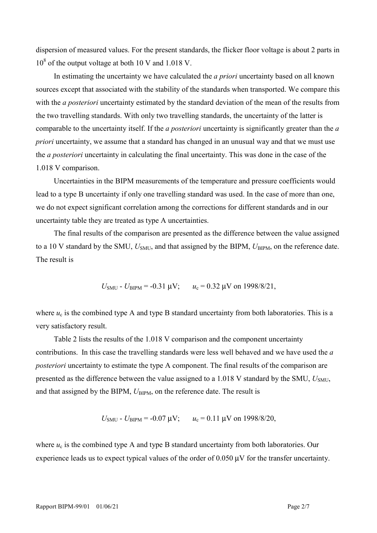dispersion of measured values. For the present standards, the flicker floor voltage is about 2 parts in 10<sup>8</sup> of the output voltage at both 10 V and 1.018 V.

In estimating the uncertainty we have calculated the *a priori* uncertainty based on all known sources except that associated with the stability of the standards when transported. We compare this with the *a posteriori* uncertainty estimated by the standard deviation of the mean of the results from the two travelling standards. With only two travelling standards, the uncertainty of the latter is comparable to the uncertainty itself. If the *a posteriori* uncertainty is significantly greater than the *a priori* uncertainty, we assume that a standard has changed in an unusual way and that we must use the *a posteriori* uncertainty in calculating the final uncertainty. This was done in the case of the 1.018 V comparison.

Uncertainties in the BIPM measurements of the temperature and pressure coefficients would lead to a type B uncertainty if only one travelling standard was used. In the case of more than one, we do not expect significant correlation among the corrections for different standards and in our uncertainty table they are treated as type A uncertainties.

The final results of the comparison are presented as the difference between the value assigned to a 10 V standard by the SMU,  $U_{\text{SMU}}$ , and that assigned by the BIPM,  $U_{\text{BIPM}}$ , on the reference date. The result is

$$
U_{\text{SMU}} - U_{\text{BIPM}} = -0.31 \text{ }\mu\text{V}; \qquad u_c = 0.32 \text{ }\mu\text{V on } 1998/8/21,
$$

where  $u_c$  is the combined type A and type B standard uncertainty from both laboratories. This is a very satisfactory result.

Table 2 lists the results of the 1.018 V comparison and the component uncertainty contributions. In this case the travelling standards were less well behaved and we have used the *a posteriori* uncertainty to estimate the type A component. The final results of the comparison are presented as the difference between the value assigned to a  $1.018$  V standard by the SMU,  $U_{SMU}$ , and that assigned by the BIPM,  $U_{\text{BIPM}}$ , on the reference date. The result is

$$
U_{\text{SMU}} - U_{\text{BIPM}} = -0.07 \text{ }\mu\text{V};
$$
  $u_c = 0.11 \text{ }\mu\text{V}$  on 1998/8/20,

where  $u_c$  is the combined type A and type B standard uncertainty from both laboratories. Our experience leads us to expect typical values of the order of 0.050  $\mu$ V for the transfer uncertainty.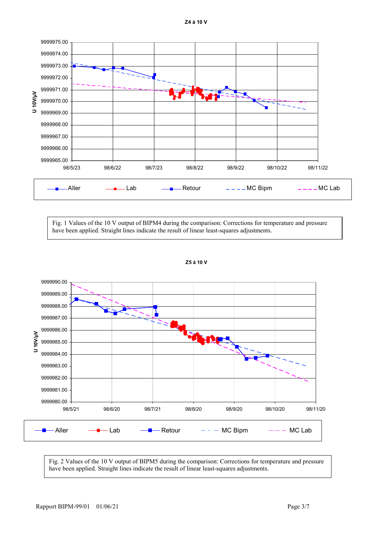**Z4 à 10 V**



Fig. 1 Values of the 10 V output of BIPM4 during the comparison: Corrections for temperature and pressure have been applied. Straight lines indicate the result of linear least-squares adjustments.



**Z5 à 10 V**

Fig. 2 Values of the 10 V output of BIPM5 during the comparison: Corrections for temperature and pressure have been applied. Straight lines indicate the result of linear least-squares adjustments.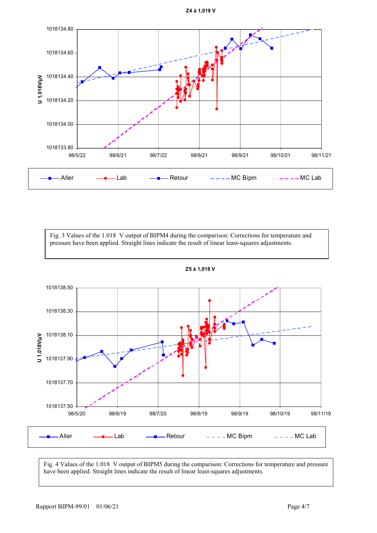**Z4 à 1,018 V**



Fig. 3 Values of the 1.018 V output of BIPM4 during the comparison: Corrections for temperature and pressure have been applied. Straight lines indicate the result of linear least-squares adjustments.



**Z5 à 1,018 V**

Fig. 4 Values of the 1.018 V output of BIPM5 during the comparison: Corrections for temperature and pressure have been applied. Straight lines indicate the result of linear least-squares adjustments.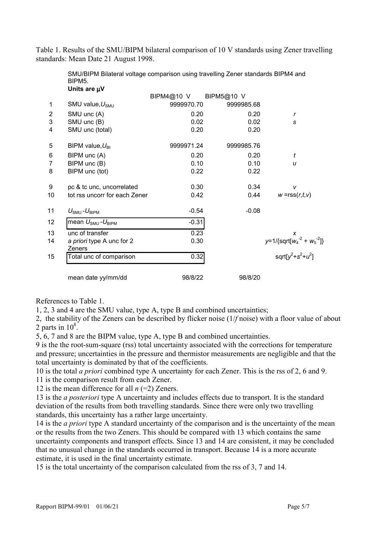Table 1. Results of the SMU/BIPM bilateral comparison of 10 V standards using Zener travelling standards: Mean Date 21 August 1998.

|                | Units are µV                               |            |            |                                                                 |
|----------------|--------------------------------------------|------------|------------|-----------------------------------------------------------------|
|                |                                            | BIPM4@10 V | BIPM5@10 V |                                                                 |
| 1              | SMU value, $U_{\text{SMU}}$                | 9999970.70 | 9999985.68 |                                                                 |
| $\overline{2}$ | SMU unc (A)                                | 0.20       | 0.20       | r                                                               |
| 3              | SMU unc (B)                                | 0.02       | 0.02       | S                                                               |
| 4              | SMU unc (total)                            | 0.20       | 0.20       |                                                                 |
| 5              | BIPM value, $U_{\text{BI}}$                | 9999971.24 | 9999985.76 |                                                                 |
| 6              | BIPM unc (A)                               | 0.20       | 0.20       | t                                                               |
| $\overline{7}$ | BIPM unc (B)                               | 0.10       | 0.10       | u                                                               |
| 8              | BIPM unc (tot)                             | 0.22       | 0.22       |                                                                 |
| 9              | pc & tc unc, uncorrelated                  | 0.30       | 0.34       | V                                                               |
| 10             | tot rss uncorr for each Zener              | 0.42       | 0.44       | $w = rss(r,t,v)$                                                |
| 11             | $U_{\text{SMU}}$ - $U_{\text{BIPM}}$       | $-0.54$    | $-0.08$    |                                                                 |
| 12             | mean $U_{\text{SMU}}$ - $U_{\text{BIPM}}$  | $-0.31$    |            |                                                                 |
| 13             | unc of transfer                            | 0.23       |            | x                                                               |
| 14             | a priori type A unc for 2<br><b>Zeners</b> | 0.30       |            | $y=1/\{sqrt{4^{2} + w_{5}^{2}}\}$<br>sqrt $[y^{2}+s^{2}+u^{2}]$ |
| 15             | Total unc of comparison                    | 0.32       |            |                                                                 |
|                | mean date yy/mm/dd                         | 98/8/22    | 98/8/20    |                                                                 |

SMU/BIPM Bilateral voltage comparison using travelling Zener standards BIPM4 and BIPM5.

References to Table 1.

1, 2, 3 and 4 are the SMU value, type A, type B and combined uncertainties;

2, the stability of the Zeners can be described by flicker noise (1/*f* noise) with a floor value of about 2 parts in  $10^8$ .

5, 6, 7 and 8 are the BIPM value, type A, type B and combined uncertainties.

9 is the the root-sum-square (rss) total uncertainty associated with the corrections for temperature and pressure; uncertainties in the pressure and thermistor measurements are negligible and that the total uncertainty is dominated by that of the coefficients.

10 is the total *a priori* combined type A uncertainty for each Zener. This is the rss of 2, 6 and 9.

11 is the comparison result from each Zener.

12 is the mean difference for all  $n (=2)$  Zeners.

13 is the *a posteriori* type A uncertainty and includes effects due to transport. It is the standard deviation of the results from both travelling standards. Since there were only two travelling standards, this uncertainty has a rather large uncertainty.

14 is the *a priori* type A standard uncertainty of the comparison and is the uncertainty of the mean or the results from the two Zeners. This should be compared with 13 which contains the same uncertainty components and transport effects. Since 13 and 14 are consistent, it may be concluded that no unusual change in the standards occurred in transport. Because 14 is a more accurate estimate, it is used in the final uncertainty estimate.

15 is the total uncertainty of the comparison calculated from the rss of 3, 7 and 14.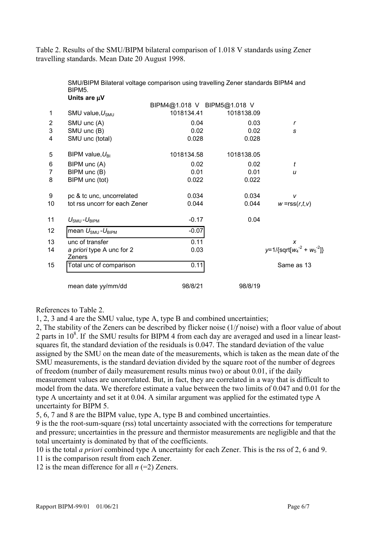Table 2. Results of the SMU/BIPM bilateral comparison of 1.018 V standards using Zener travelling standards. Mean Date 20 August 1998.

| SMU/BIPM Bilateral voltage comparison using travelling Zener standards BIPM4 and |  |  |  |
|----------------------------------------------------------------------------------|--|--|--|
| BIPM <sub>5</sub> .                                                              |  |  |  |
| Units are uV                                                                     |  |  |  |

|                 |                                           | BIPM4@1.018 V BIPM5@1.018 V |            |                                             |
|-----------------|-------------------------------------------|-----------------------------|------------|---------------------------------------------|
| 1               | SMU value, $U_{\text{SMU}}$               | 1018134.41                  | 1018138.09 |                                             |
| $\overline{c}$  | SMU unc (A)                               | 0.04                        | 0.03       | $\mathbf r$                                 |
| 3               | SMU unc (B)                               | 0.02                        | 0.02       | S                                           |
| 4               | SMU unc (total)                           | 0.028                       | 0.028      |                                             |
| 5               | BIPM value, $U_{\text{BI}}$               | 1018134.58                  | 1018138.05 |                                             |
| 6               | BIPM unc (A)                              | 0.02                        | 0.02       | t                                           |
| 7               | BIPM unc (B)                              | 0.01                        | 0.01       | u                                           |
| 8               | BIPM unc (tot)                            | 0.022                       | 0.022      |                                             |
| 9               | pc & tc unc, uncorrelated                 | 0.034                       | 0.034      | V                                           |
| 10              | tot rss uncorr for each Zener             | 0.044                       | 0.044      | $w = rss(r,t,v)$                            |
| 11              | $U_{\text{SMU}}$ - $U_{\text{BIPM}}$      | $-0.17$                     | 0.04       |                                             |
| 12 <sup>°</sup> | mean $U_{\text{SMU}}$ - $U_{\text{BIPM}}$ | $-0.07$                     |            |                                             |
| 13              | unc of transfer                           | 0.11                        |            | X                                           |
| 14              | a priori type A unc for 2<br>Zeners       | 0.03                        |            | $y=1/\sqrt{\sqrt{2}qrt[w_4^{-2}+w_5^{-2}]}$ |
| 15              | Total unc of comparison                   | 0.11                        |            | Same as 13                                  |
|                 | mean date yy/mm/dd                        | 98/8/21                     | 98/8/19    |                                             |

References to Table 2.

1, 2, 3 and 4 are the SMU value, type A, type B and combined uncertainties;

2, The stability of the Zeners can be described by flicker noise (1/*f* noise) with a floor value of about 2 parts in  $10^8$ . If the SMU results for BIPM 4 from each day are averaged and used in a linear leastsquares fit, the standard deviation of the residuals is 0.047. The standard deviation of the value assigned by the SMU on the mean date of the measurements, which is taken as the mean date of the SMU measurements, is the standard deviation divided by the square root of the number of degrees of freedom (number of daily measurement results minus two) or about 0.01, if the daily measurement values are uncorrelated. But, in fact, they are correlated in a way that is difficult to model from the data. We therefore estimate a value between the two limits of 0.047 and 0.01 for the type A uncertainty and set it at 0.04. A similar argument was applied for the estimated type A uncertainty for BIPM 5.

5, 6, 7 and 8 are the BIPM value, type A, type B and combined uncertainties.

9 is the the root-sum-square (rss) total uncertainty associated with the corrections for temperature and pressure; uncertainties in the pressure and thermistor measurements are negligible and that the total uncertainty is dominated by that of the coefficients.

10 is the total *a priori* combined type A uncertainty for each Zener. This is the rss of 2, 6 and 9.

11 is the comparison result from each Zener.

12 is the mean difference for all *n* (=2) Zeners.